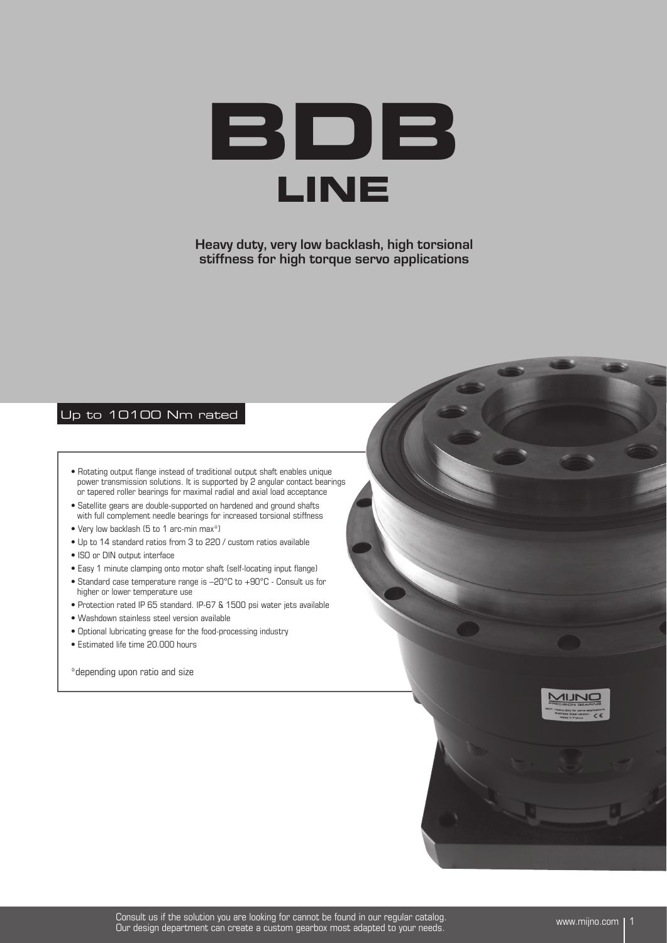

**Heavy duty, very low backlash, high torsional stiffness for high torque servo applications**

## Up to 10100 Nm rated

- Rotating output flange instead of traditional output shaft enables unique power transmission solutions. It is supported by 2 angular contact bearings or tapered roller bearings for maximal radial and axial load acceptance
- Satellite gears are double-supported on hardened and ground shafts with full complement needle bearings for increased torsional stiffness
- Very low backlash (5 to 1 arc-min max\*)
- Up to 14 standard ratios from 3 to 220 / custom ratios available
- ISO or DIN output interface
- Easy 1 minute clamping onto motor shaft (self-locating input flange)
- Standard case temperature range is –20°C to +90°C Consult us for higher or lower temperature use
- Protection rated IP 65 standard. IP-67 & 1500 psi water jets available
- Washdown stainless steel version available
- Optional lubricating grease for the food-processing industry
- Estimated life time 20.000 hours

\*depending upon ratio and size

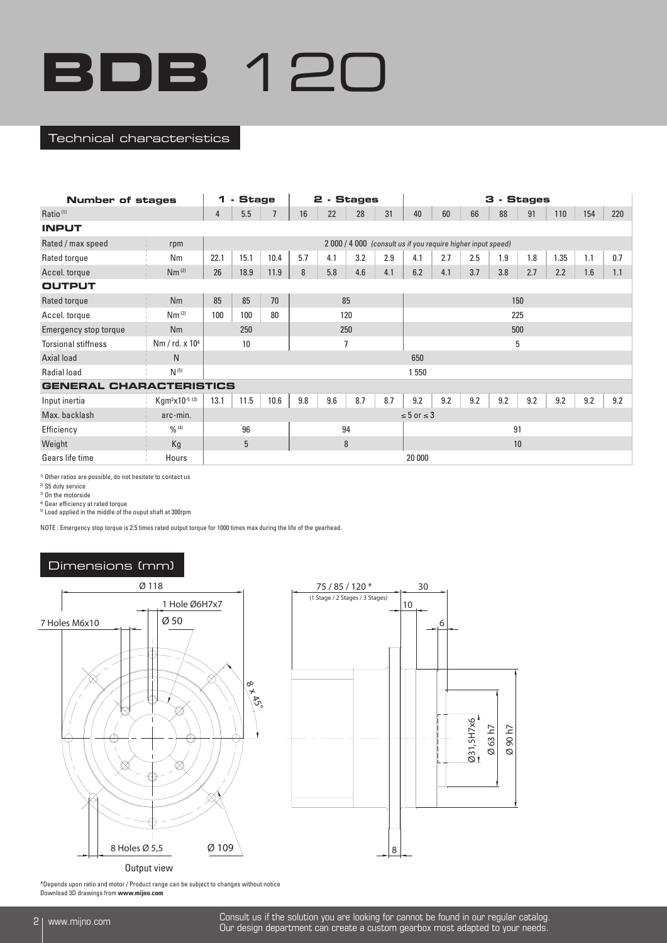#### Technical characteristics

| <b>Number of stages</b>        |                                        | 1      | <b>Stage</b><br>$\blacksquare$ |      |     |     | 2 - Stages     |     |                      |                                                              | з   |     | . Stages |      |     |     |  |  |  |  |  |  |
|--------------------------------|----------------------------------------|--------|--------------------------------|------|-----|-----|----------------|-----|----------------------|--------------------------------------------------------------|-----|-----|----------|------|-----|-----|--|--|--|--|--|--|
| Ratio <sup>(1)</sup>           |                                        | 4      | 5.5                            |      | 16  | 22  | 28             | 31  | 40                   | 60                                                           | 66  | 88  | 91       | 110  | 154 | 220 |  |  |  |  |  |  |
| <b>INPUT</b>                   |                                        |        |                                |      |     |     |                |     |                      |                                                              |     |     |          |      |     |     |  |  |  |  |  |  |
| Rated / max speed              | rpm                                    |        |                                |      |     |     |                |     |                      | 2 000 / 4 000 (consult us if you require higher input speed) |     |     |          |      |     |     |  |  |  |  |  |  |
| Rated torque                   | Nm                                     | 22.1   | 15.1                           | 10.4 | 5.7 | 4.1 | 3.2            | 2.9 | 4.1                  | 2.7                                                          | 2.5 | 1.9 | 1.8      | 1.35 | 1.1 | 0.7 |  |  |  |  |  |  |
| Accel. torque                  | Nm <sup>(2)</sup>                      | 26     | 18.9                           | 11.9 | 8   | 5.8 | 4.6            | 4.1 | 6.2                  | 4.1                                                          | 3.7 | 3.8 | 2.7      | 2.2  | 1.6 | 1.1 |  |  |  |  |  |  |
| <b>OUTPUT</b>                  |                                        |        |                                |      |     |     |                |     |                      |                                                              |     |     |          |      |     |     |  |  |  |  |  |  |
| Rated torque                   | Nm                                     | 85     | 85                             | 70   |     |     | 85             |     |                      |                                                              |     |     | 150      |      |     |     |  |  |  |  |  |  |
| Accel. torque                  | Nm <sup>(2)</sup>                      | 100    | 100                            | 80   |     |     | 120            |     |                      |                                                              |     |     | 225      |      |     |     |  |  |  |  |  |  |
| Emergency stop torque          | Nm                                     |        | 250                            | 250  |     |     |                |     |                      |                                                              |     |     | 500      |      |     |     |  |  |  |  |  |  |
| <b>Torsional stiffness</b>     | Nm / rd. x 10 <sup>4</sup>             |        | 10                             |      |     |     | $\overline{1}$ |     | 5                    |                                                              |     |     |          |      |     |     |  |  |  |  |  |  |
| Axial load                     | N                                      |        |                                |      |     |     |                |     | 650                  |                                                              |     |     |          |      |     |     |  |  |  |  |  |  |
| Radial load                    | $N^{(5)}$                              |        |                                |      |     |     |                |     | 1 550                |                                                              |     |     |          |      |     |     |  |  |  |  |  |  |
| <b>GENERAL CHARACTERISTICS</b> |                                        |        |                                |      |     |     |                |     |                      |                                                              |     |     |          |      |     |     |  |  |  |  |  |  |
| Input inertia                  | Kgm <sup>2</sup> x10 <sup>-5 (3)</sup> | 13.1   | 11.5                           | 10.6 | 9.8 | 9.6 | 8.7            | 8.7 | 9.2                  | 9.2                                                          | 9.2 | 9.2 | 9.2      | 9.2  | 9.2 | 9.2 |  |  |  |  |  |  |
| Max. backlash                  | arc-min.                               |        |                                |      |     |     |                |     | $\leq 5$ or $\leq 3$ |                                                              |     |     |          |      |     |     |  |  |  |  |  |  |
| Efficiency                     | $\frac{0}{0}$ (4)                      |        | 94<br>96                       |      |     |     |                |     | 91                   |                                                              |     |     |          |      |     |     |  |  |  |  |  |  |
| Weight                         | Kg                                     | 5<br>8 |                                |      |     |     |                |     | 10                   |                                                              |     |     |          |      |     |     |  |  |  |  |  |  |
| Gears life time                | Hours                                  |        |                                |      |     |     |                |     | 20 000               |                                                              |     |     |          |      |     |     |  |  |  |  |  |  |

1) Other ratios are possible, do not hesitate to contact us

2) S5 duty service

3) On the motorside

4) Gear efficiency at rated torque

5) Load applied in the middle of the ouput shaft at 300rpm

NOTE : Emergency stop torque is 2.5 times rated output torque for 1000 times max during the life of the gearhead.

## Dimensions (mm)



\*Depends upon ratio and motor / Product range can be subject to changes without notice Download 3D drawings from **www.mijno.com**

2 www.mijno.com Consult us if the solution you are looking for cannot be found in our regular catalog. Our design department can create a custom gearbox most adapted to your needs.

Ø 90 h7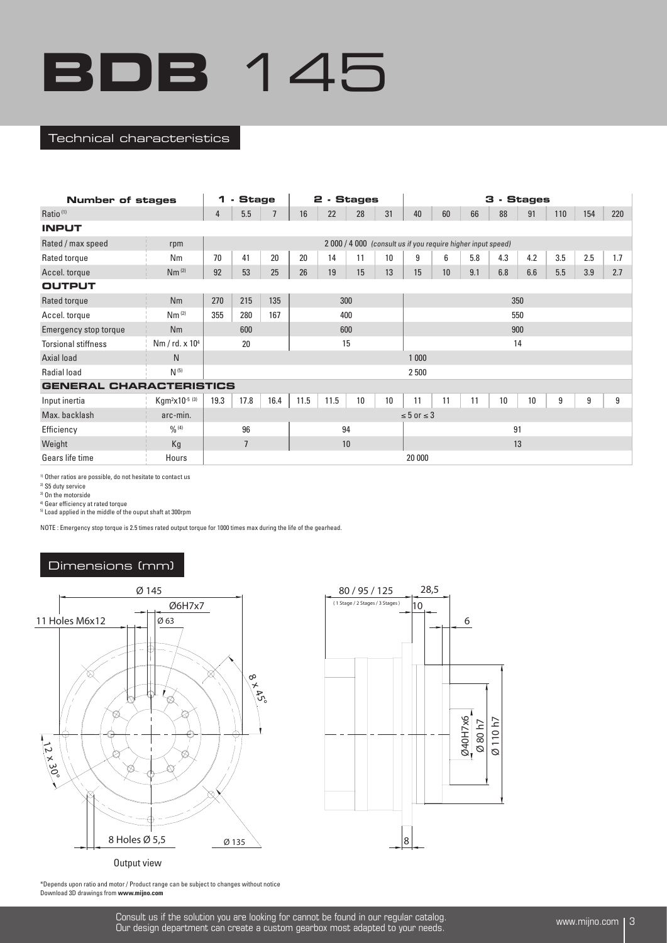#### Technical characteristics

| <b>Number of stages</b>        |                                        | 1    | <b>Stage</b><br>$\blacksquare$ |      |                      |      | 2 - Stages |    |                      |                                                              |     | з   | . Stages |     |     |     |  |  |  |  |  |  |  |  |
|--------------------------------|----------------------------------------|------|--------------------------------|------|----------------------|------|------------|----|----------------------|--------------------------------------------------------------|-----|-----|----------|-----|-----|-----|--|--|--|--|--|--|--|--|
| Ratio <sup>(1)</sup>           |                                        | 4    | 5.5                            |      | 16                   | 22   | 28         | 31 | 40                   | 60                                                           | 66  | 88  | 91       | 110 | 154 | 220 |  |  |  |  |  |  |  |  |
| <b>INPUT</b>                   |                                        |      |                                |      |                      |      |            |    |                      |                                                              |     |     |          |     |     |     |  |  |  |  |  |  |  |  |
| Rated / max speed              | rpm                                    |      |                                |      |                      |      |            |    |                      | 2 000 / 4 000 (consult us if you require higher input speed) |     |     |          |     |     |     |  |  |  |  |  |  |  |  |
| Rated torque                   | Nm                                     | 70   | 41                             | 20   | 20<br>14<br>11<br>10 |      |            |    |                      | 6                                                            | 5.8 | 4.3 | 4.2      | 3.5 | 2.5 | 1.7 |  |  |  |  |  |  |  |  |
| Accel. torque                  | Nm <sup>(2)</sup>                      | 92   | 53                             | 25   | 26                   | 19   | 15         | 13 | 15                   | 10 <sup>1</sup>                                              | 9.1 | 6.8 | 6.6      | 5.5 | 3.9 | 2.7 |  |  |  |  |  |  |  |  |
| <b>OUTPUT</b>                  |                                        |      |                                |      |                      |      |            |    |                      |                                                              |     |     |          |     |     |     |  |  |  |  |  |  |  |  |
| Rated torque                   | Nm                                     | 270  | 215                            | 135  |                      |      | 300        |    |                      |                                                              |     |     | 350      |     |     |     |  |  |  |  |  |  |  |  |
| Accel. torque                  | Nm <sup>(2)</sup>                      | 355  | 280                            | 167  |                      |      | 400        |    |                      |                                                              |     |     | 550      |     |     |     |  |  |  |  |  |  |  |  |
| Emergency stop torque          | Nm                                     |      | 600                            |      |                      |      | 600        |    |                      |                                                              |     |     | 900      |     |     |     |  |  |  |  |  |  |  |  |
| <b>Torsional stiffness</b>     | Nm / rd. x 10 <sup>4</sup>             |      | 20                             |      |                      |      | 15         |    |                      | 14                                                           |     |     |          |     |     |     |  |  |  |  |  |  |  |  |
| Axial load                     | N <sub>1</sub>                         |      |                                |      |                      |      |            |    | 1 0 0 0              |                                                              |     |     |          |     |     |     |  |  |  |  |  |  |  |  |
| Radial load                    | $N^{(5)}$                              |      |                                |      |                      |      |            |    | 2 500                |                                                              |     |     |          |     |     |     |  |  |  |  |  |  |  |  |
| <b>GENERAL CHARACTERISTICS</b> |                                        |      |                                |      |                      |      |            |    |                      |                                                              |     |     |          |     |     |     |  |  |  |  |  |  |  |  |
| Input inertia                  | Kgm <sup>2</sup> x10 <sup>-5 (3)</sup> | 19.3 | 17.8                           | 16.4 | 11.5                 | 11.5 | 10         | 10 | 11                   | 11                                                           | 11  | 10  | 10       | 9   | 9   | 9   |  |  |  |  |  |  |  |  |
| Max. backlash                  | arc-min.                               |      |                                |      |                      |      |            |    | $\leq 5$ or $\leq 3$ |                                                              |     |     |          |     |     |     |  |  |  |  |  |  |  |  |
| Efficiency                     | 0/0(4)                                 |      | 96                             | 94   |                      |      |            |    |                      |                                                              |     | 91  |          |     |     |     |  |  |  |  |  |  |  |  |
| Weight                         | Kg                                     |      | $\overline{7}$<br>10           |      |                      |      |            |    |                      | 13                                                           |     |     |          |     |     |     |  |  |  |  |  |  |  |  |
| Gears life time                | Hours                                  |      |                                |      |                      |      |            |    | 20 000               |                                                              |     |     |          |     |     |     |  |  |  |  |  |  |  |  |

1) Other ratios are possible, do not hesitate to contact us

2) S5 duty service

3) On the motorside

4) Gear efficiency at rated torque

5) Load applied in the middle of the ouput shaft at 300rpm

NOTE : Emergency stop torque is 2.5 times rated output torque for 1000 times max during the life of the gearhead.

## Dimensions (mm)





\*Depends upon ratio and motor / Product range can be subject to changes without notice Download 3D drawings from **www.mijno.com**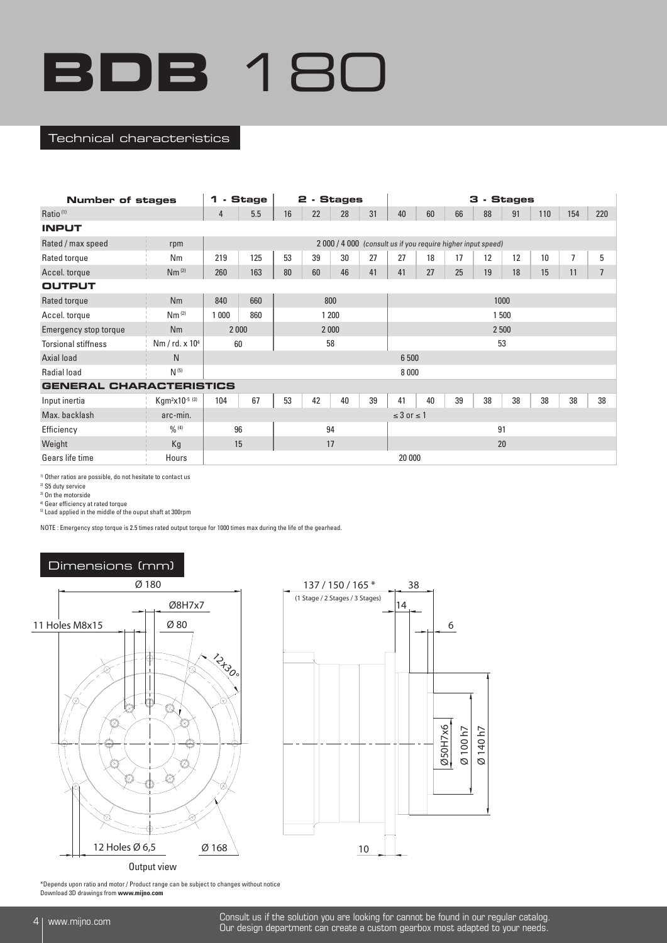#### Technical characteristics

| <b>Number of stages</b>        |                                        | 1<br>- Stage<br>2 - Stages |     |                      |     |    |    |                      |        |                                                              | 3 - Stages |    |     |                |                |  |
|--------------------------------|----------------------------------------|----------------------------|-----|----------------------|-----|----|----|----------------------|--------|--------------------------------------------------------------|------------|----|-----|----------------|----------------|--|
| Ratio <sup>(1)</sup>           |                                        | 4                          | 5.5 | 16                   | 22  | 28 | 31 | 40                   | 60     | 66                                                           | 88         | 91 | 110 | 154            | 220            |  |
| <b>INPUT</b>                   |                                        |                            |     |                      |     |    |    |                      |        |                                                              |            |    |     |                |                |  |
| Rated / max speed              | rpm                                    |                            |     |                      |     |    |    |                      |        | 2 000 / 4 000 (consult us if you require higher input speed) |            |    |     |                |                |  |
| Rated torque                   | Nm                                     | 219                        | 125 | 53                   | 39  | 30 | 27 | 27                   | 18     | 17                                                           | 12         | 12 | 10  | $\overline{7}$ | 5              |  |
| Accel. torque                  | Nm <sup>(2)</sup>                      | 260                        | 163 | 80<br>60<br>46<br>41 |     |    |    |                      | 27     | 25                                                           | 19         | 18 | 15  | 11             | $\overline{7}$ |  |
| <b>OUTPUT</b>                  |                                        |                            |     |                      |     |    |    |                      |        |                                                              |            |    |     |                |                |  |
| Rated torque                   | Nm                                     | 840                        | 660 |                      | 800 |    |    |                      |        |                                                              | 1000       |    |     |                |                |  |
| Accel. torque                  | Nm <sup>(2)</sup>                      | 1 200<br>860<br>1 000      |     |                      |     |    |    |                      |        |                                                              | 1 500      |    |     |                |                |  |
| Emergency stop torque          | Nm                                     | 2 0 0 0<br>2000            |     |                      |     |    |    |                      |        |                                                              | 2 500      |    |     |                |                |  |
| <b>Torsional stiffness</b>     | Nm / $rd. x 104$                       | 60                         |     |                      | 58  |    |    | 53                   |        |                                                              |            |    |     |                |                |  |
| Axial load                     | N.                                     |                            |     |                      |     |    |    | 6 500                |        |                                                              |            |    |     |                |                |  |
| <b>Radial load</b>             | $N^{(5)}$                              |                            |     |                      |     |    |    | 8000                 |        |                                                              |            |    |     |                |                |  |
| <b>GENERAL CHARACTERISTICS</b> |                                        |                            |     |                      |     |    |    |                      |        |                                                              |            |    |     |                |                |  |
| Input inertia                  | Kgm <sup>2</sup> x10 <sup>-5 (3)</sup> | 104                        | 67  | 53                   | 42  | 40 | 39 | 41                   | 40     | 39                                                           | 38         | 38 | 38  | 38             | 38             |  |
| Max. backlash                  | arc-min.                               |                            |     |                      |     |    |    | $\leq$ 3 or $\leq$ 1 |        |                                                              |            |    |     |                |                |  |
| Efficiency                     | 0/0(4)                                 | 96                         |     | 94                   |     |    |    |                      |        | 91                                                           |            |    |     |                |                |  |
| Weight                         | Kg                                     | 15<br>17                   |     |                      |     |    |    | 20                   |        |                                                              |            |    |     |                |                |  |
| Gears life time                | Hours                                  |                            |     |                      |     |    |    |                      | 20 000 |                                                              |            |    |     |                |                |  |

1) Other ratios are possible, do not hesitate to contact us

2) S5 duty service

3) On the motorside

<sup>4)</sup> Gear efficiency at rated torque<br><sup>5)</sup> Load applied in the middle of the ouput shaft at 300rpm

NOTE : Emergency stop torque is 2.5 times rated output torque for 1000 times max during the life of the gearhead.





\*Depends upon ratio and motor / Product range can be subject to changes without notice Download 3D drawings from **www.mijno.com**

4 www.mijno.com Consult us if the solution you are looking for cannot be found in our regular catalog. Our design department can create a custom gearbox most adapted to your needs.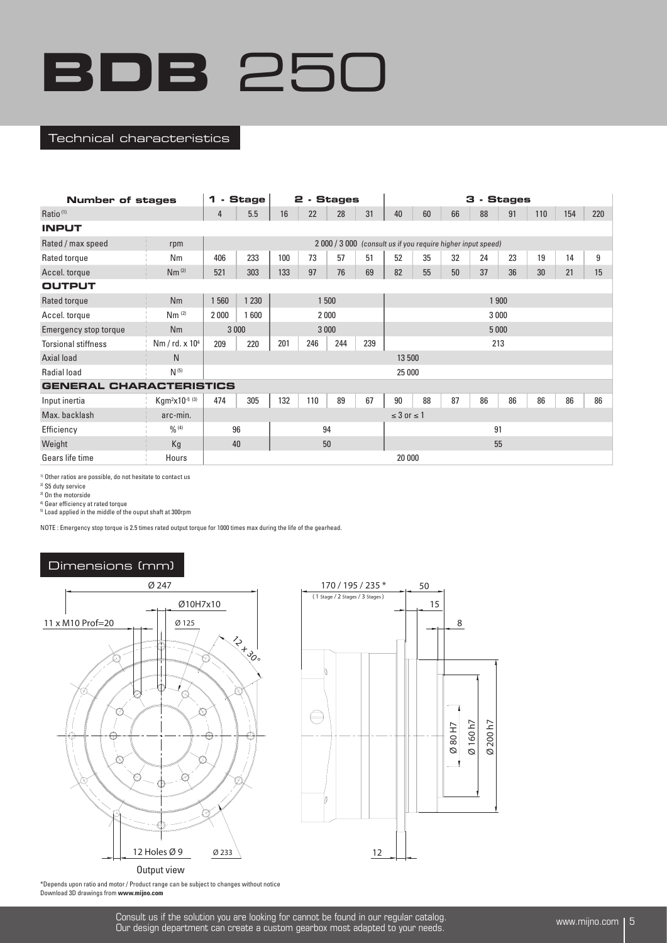#### Technical characteristics

| Number of stages               |                                        | <b>. Stage</b><br>2 - Stages<br>1 |         |     |         |     |     |                      |       |    | 3 - Stages                                                   |    |     |     |     |  |  |
|--------------------------------|----------------------------------------|-----------------------------------|---------|-----|---------|-----|-----|----------------------|-------|----|--------------------------------------------------------------|----|-----|-----|-----|--|--|
| Ratio <sup>(1)</sup>           |                                        | 4                                 | 5.5     | 16  | 22      | 28  | 31  | 40                   | 60    | 66 | 88                                                           | 91 | 110 | 154 | 220 |  |  |
| <b>INPUT</b>                   |                                        |                                   |         |     |         |     |     |                      |       |    |                                                              |    |     |     |     |  |  |
| Rated / max speed              | rpm                                    |                                   |         |     |         |     |     |                      |       |    | 2 000 / 3 000 (consult us if you require higher input speed) |    |     |     |     |  |  |
| Rated torque                   | Nm                                     | 406                               | 233     | 100 | 73      | 57  | 51  | 52                   | 35    | 32 | 24                                                           | 23 | 19  | 14  | 9   |  |  |
| Accel. torque                  | Nm <sup>(2)</sup>                      | 521                               | 303     | 133 | 97      | 76  | 69  | 82                   | 55    | 50 | 37                                                           | 36 | 30  | 21  | 15  |  |  |
| <b>OUTPUT</b>                  |                                        |                                   |         |     |         |     |     |                      |       |    |                                                              |    |     |     |     |  |  |
| Rated torque                   | <b>Nm</b>                              | 1500<br>1560<br>1 2 3 0           |         |     |         |     |     |                      | 1 900 |    |                                                              |    |     |     |     |  |  |
| Accel. torque                  | Nm <sup>(2)</sup>                      | 2000<br>2000<br>1600              |         |     |         |     |     |                      |       |    | 3 0 0 0                                                      |    |     |     |     |  |  |
| Emergency stop torque          | Nm                                     |                                   | 3 0 0 0 |     | 3 0 0 0 |     |     |                      |       |    | 5 0 0 0                                                      |    |     |     |     |  |  |
| <b>Torsional stiffness</b>     | Nm / $rd. x 104$                       | 209                               | 220     | 201 | 246     | 244 | 239 | 213                  |       |    |                                                              |    |     |     |     |  |  |
| Axial load                     | N.                                     |                                   |         |     |         |     |     | 13 500               |       |    |                                                              |    |     |     |     |  |  |
| <b>Radial load</b>             | $N^{(5)}$                              |                                   |         |     |         |     |     | 25 000               |       |    |                                                              |    |     |     |     |  |  |
| <b>GENERAL CHARACTERISTICS</b> |                                        |                                   |         |     |         |     |     |                      |       |    |                                                              |    |     |     |     |  |  |
| Input inertia                  | Kgm <sup>2</sup> x10 <sup>-5 (3)</sup> | 474                               | 305     | 132 | 110     | 89  | 67  | 90                   | 88    | 87 | 86                                                           | 86 | 86  | 86  | 86  |  |  |
| Max. backlash                  | arc-min.                               |                                   |         |     |         |     |     | $\leq$ 3 or $\leq$ 1 |       |    |                                                              |    |     |     |     |  |  |
| Efficiency                     | 0/0(4)                                 | 96<br>94                          |         |     |         |     |     | 91                   |       |    |                                                              |    |     |     |     |  |  |
| Weight                         | Kg                                     | 50<br>40                          |         |     |         |     |     |                      | 55    |    |                                                              |    |     |     |     |  |  |
| Gears life time                | Hours                                  |                                   |         |     |         |     |     | 20 000               |       |    |                                                              |    |     |     |     |  |  |

1) Other ratios are possible, do not hesitate to contact us

2) S5 duty service

3) On the motorside

4) Gear efficiency at rated torque

5) Load applied in the middle of the ouput shaft at 300rpm

NOTE : Emergency stop torque is 2.5 times rated output torque for 1000 times max during the life of the gearhead.





\*Depends upon ratio and motor / Product range can be subject to changes without notice Download 3D drawings from **www.mijno.com**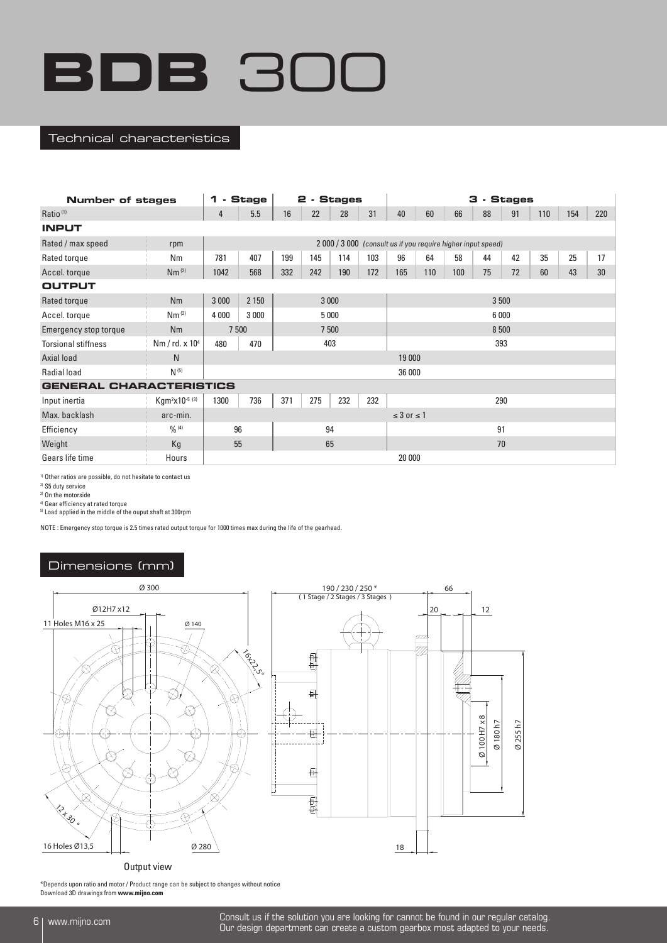#### Technical characteristics

| Number of stages               |                                        | 1                             | - Stage                         |     | 2 - Stages |     |     |                      |     |                                                              | 3 - Stages |    |     |     |     |  |
|--------------------------------|----------------------------------------|-------------------------------|---------------------------------|-----|------------|-----|-----|----------------------|-----|--------------------------------------------------------------|------------|----|-----|-----|-----|--|
| Ratio <sup>(1)</sup>           |                                        | 4                             | 5.5                             | 16  | 22         | 28  | 31  | 40                   | 60  | 66                                                           | 88         | 91 | 110 | 154 | 220 |  |
| <b>INPUT</b>                   |                                        |                               |                                 |     |            |     |     |                      |     |                                                              |            |    |     |     |     |  |
| Rated / max speed              | rpm                                    |                               |                                 |     |            |     |     |                      |     | 2 000 / 3 000 (consult us if you require higher input speed) |            |    |     |     |     |  |
| Rated torque                   | Nm                                     | 781                           | 407                             | 199 | 145        | 114 | 103 | 96                   | 64  | 58                                                           | 44         | 42 | 35  | 25  | 17  |  |
| Accel. torque                  | Nm <sup>(2)</sup>                      | 1042                          | 332<br>242<br>568<br>190<br>172 |     |            |     |     |                      | 110 | 100                                                          | 75         | 72 | 60  | 43  | 30  |  |
| <b>OUTPUT</b>                  |                                        |                               |                                 |     |            |     |     |                      |     |                                                              |            |    |     |     |     |  |
| Rated torque                   | <b>Nm</b>                              | 3 0 0 0                       | 2 1 5 0                         |     | 3 0 0 0    |     |     |                      |     |                                                              |            |    |     |     |     |  |
| Accel. torque                  | Nm <sup>(2)</sup>                      | 5 0 0 0<br>4 0 0 0<br>3 0 0 0 |                                 |     |            |     |     |                      |     |                                                              | 6 0 0 0    |    |     |     |     |  |
| Emergency stop torque          | <b>Nm</b>                              | 7 500                         |                                 |     | 7 500      |     |     |                      |     |                                                              | 8 500      |    |     |     |     |  |
| <b>Torsional stiffness</b>     | Nm / $rd. x 104$                       | 480                           | 470                             |     | 403        |     |     | 393                  |     |                                                              |            |    |     |     |     |  |
| Axial load                     | N                                      |                               |                                 |     |            |     |     | 19 000               |     |                                                              |            |    |     |     |     |  |
| <b>Radial load</b>             | $N^{(5)}$                              |                               |                                 |     |            |     |     | 36 000               |     |                                                              |            |    |     |     |     |  |
| <b>GENERAL CHARACTERISTICS</b> |                                        |                               |                                 |     |            |     |     |                      |     |                                                              |            |    |     |     |     |  |
| Input inertia                  | Kgm <sup>2</sup> x10 <sup>-5 (3)</sup> | 1300                          | 736                             | 371 | 275        | 232 | 232 |                      |     |                                                              | 290        |    |     |     |     |  |
| Max. backlash                  | arc-min.                               |                               |                                 |     |            |     |     | $\leq$ 3 or $\leq$ 1 |     |                                                              |            |    |     |     |     |  |
| Efficiency                     | 0/0(4)                                 | 96                            |                                 |     | 94         |     |     |                      |     |                                                              | 91         |    |     |     |     |  |
| Weight                         | Kg                                     | 65<br>55                      |                                 |     |            |     |     | 70                   |     |                                                              |            |    |     |     |     |  |
| Gears life time                | Hours                                  |                               |                                 |     |            |     |     | 20 000               |     |                                                              |            |    |     |     |     |  |

1) Other ratios are possible, do not hesitate to contact us

2) S5 duty service

3) On the motorside

4) Gear efficiency at rated torque

5) Load applied in the middle of the ouput shaft at 300rpm

NOTE : Emergency stop torque is 2.5 times rated output torque for 1000 times max during the life of the gearhead.

## Dimensions (mm)



Output view

\*Depends upon ratio and motor / Product range can be subject to changes without notice Download 3D drawings from **www.mijno.com**

<sup>6</sup> www.mijno.com Consult us if the solution you are looking for cannot be found in our regular catalog. Our design department can create a custom gearbox most adapted to your needs.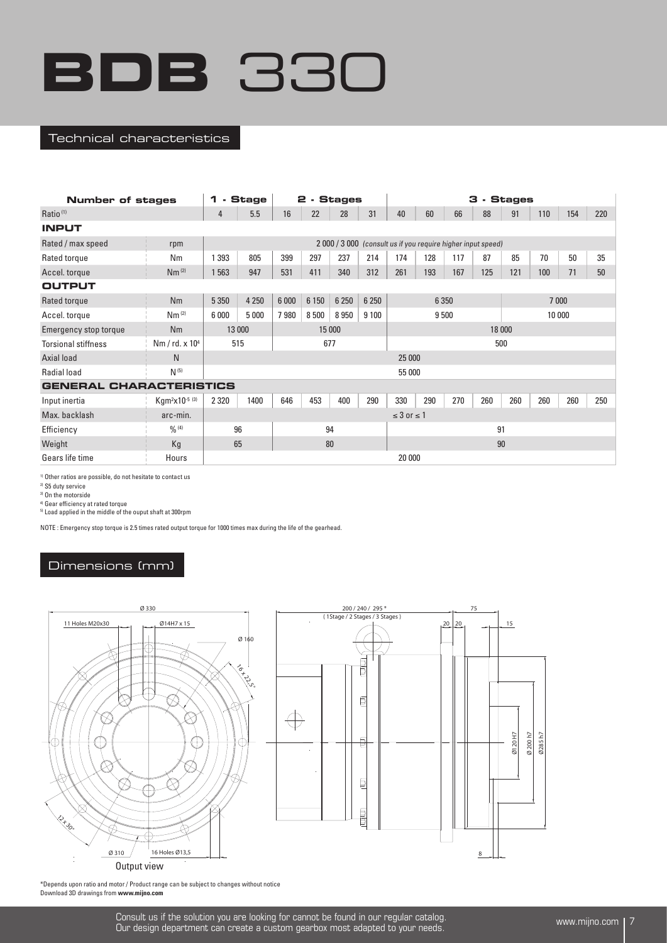#### Technical characteristics

| <b>Number of stages</b>        | <b>Stage</b><br>2 - Stages<br>1<br>$\sim$ |                  |         |       |         |         |         |                      |         | 3 - Stages |                                                            |         |     |     |     |  |  |  |
|--------------------------------|-------------------------------------------|------------------|---------|-------|---------|---------|---------|----------------------|---------|------------|------------------------------------------------------------|---------|-----|-----|-----|--|--|--|
| Ratio <sup>(1)</sup>           |                                           | 4                | 5.5     | 16    | 22      | 28      | 31      | 40                   | 60      | 66         | 88                                                         | 91      | 110 | 154 | 220 |  |  |  |
| <b>INPUT</b>                   |                                           |                  |         |       |         |         |         |                      |         |            |                                                            |         |     |     |     |  |  |  |
| Rated / max speed              | rpm                                       |                  |         |       |         |         |         |                      |         |            | 2000 / 3000 (consult us if you require higher input speed) |         |     |     |     |  |  |  |
| Rated torque                   | Nm                                        | 1 3 9 3          | 805     | 399   | 297     | 237     | 214     | 174                  | 128     | 117        | 87                                                         | 85      | 70  | 50  | 35  |  |  |  |
| Accel. torque                  | Nm <sup>(2)</sup>                         | 1 5 6 3          | 947     | 531   | 411     | 340     | 312     | 261                  | 193     | 167        | 125                                                        | 121     | 100 | 71  | 50  |  |  |  |
| <b>OUTPUT</b>                  |                                           |                  |         |       |         |         |         |                      |         |            |                                                            |         |     |     |     |  |  |  |
| Rated torque                   | Nm                                        | 5 3 5 0          | 4 2 5 0 | 6 000 | 6 1 5 0 | 6 2 5 0 | 6 2 5 0 |                      | 6 3 5 0 |            |                                                            | 7 0 0 0 |     |     |     |  |  |  |
| Accel. torque                  | Nm <sup>(2)</sup>                         | 6 0 0 0          | 5 0 0 0 | 7980  | 8 500   | 8950    | 9 1 0 0 |                      | 9500    |            |                                                            | 10 000  |     |     |     |  |  |  |
| Emergency stop torque          | Nm                                        | 15 000<br>13 000 |         |       |         |         |         |                      |         |            | 18 000                                                     |         |     |     |     |  |  |  |
| <b>Torsional stiffness</b>     | Nm / rd. x 10 <sup>4</sup>                |                  | 515     |       | 677     |         |         |                      |         |            | 500                                                        |         |     |     |     |  |  |  |
| Axial load                     | N                                         |                  |         |       |         |         |         | 25 000               |         |            |                                                            |         |     |     |     |  |  |  |
| <b>Radial load</b>             | $N^{(5)}$                                 |                  |         |       |         |         |         | 55 000               |         |            |                                                            |         |     |     |     |  |  |  |
| <b>GENERAL CHARACTERISTICS</b> |                                           |                  |         |       |         |         |         |                      |         |            |                                                            |         |     |     |     |  |  |  |
| Input inertia                  | Kgm <sup>2</sup> x10 <sup>-5 (3)</sup>    | 2 3 2 0          | 1400    | 646   | 453     | 400     | 290     | 330                  | 290     | 270        | 260                                                        | 260     | 260 | 260 | 250 |  |  |  |
| Max. backlash                  | arc-min.                                  |                  |         |       |         |         |         | $\leq$ 3 or $\leq$ 1 |         |            |                                                            |         |     |     |     |  |  |  |
| Efficiency                     | 0/0(4)                                    |                  | 96      |       | 94      |         |         | 91                   |         |            |                                                            |         |     |     |     |  |  |  |
| Weight                         | Kg                                        | 65<br>80         |         |       |         |         |         | 90                   |         |            |                                                            |         |     |     |     |  |  |  |
| Gears life time                | Hours                                     |                  |         |       |         |         |         | 20 000               |         |            |                                                            |         |     |     |     |  |  |  |

1) Other ratios are possible, do not hesitate to contact us

2) S5 duty service

3) On the motorside

4) Gear efficiency at rated torque

5) Load applied in the middle of the ouput shaft at 300rpm

NOTE : Emergency stop torque is 2.5 times rated output torque for 1000 times max during the life of the gearhead.

## Dimensions (mm)





\*Depends upon ratio and motor / Product range can be subject to changes without notice Download 3D drawings from **www.mijno.com**